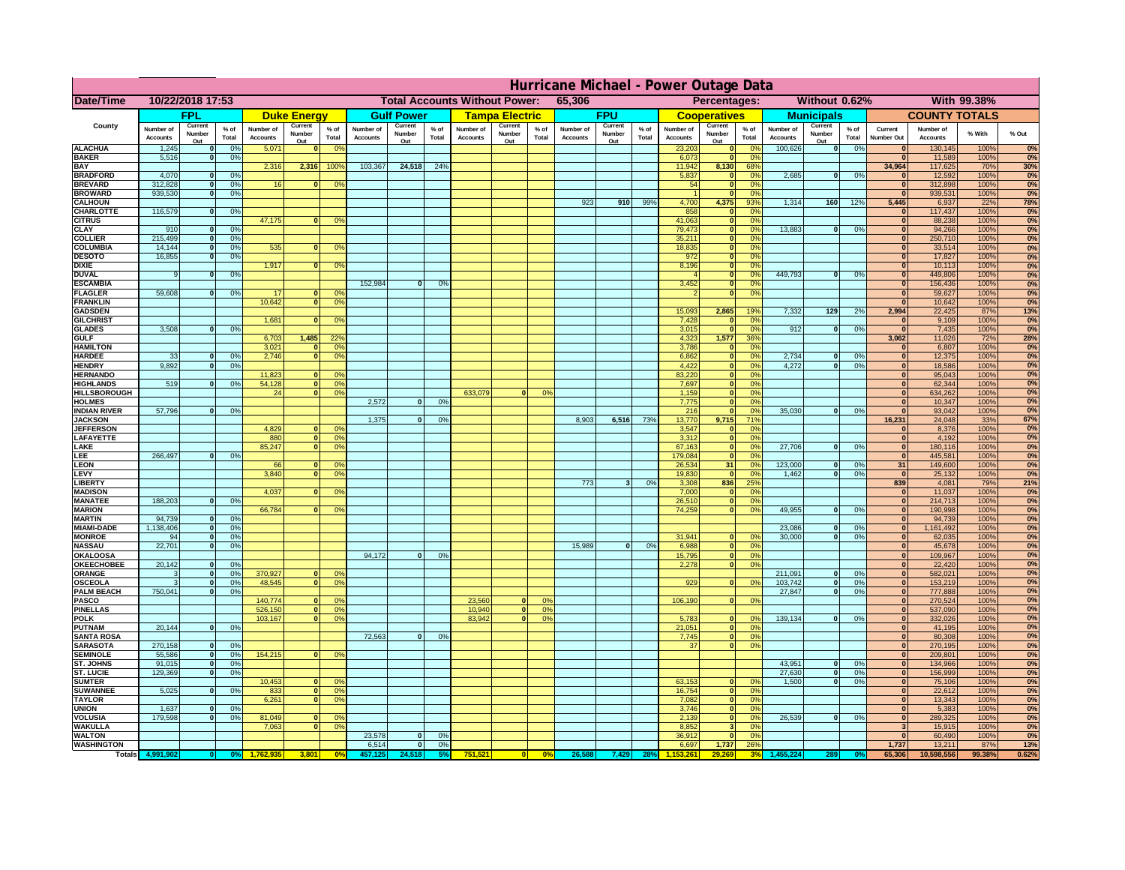|                                      | Hurricane Michael - Power Outage Data |                              |                      |                              |                     |                                   |                                                |                   |                |                              |                       |                                              |                              |                   |                 |                              |                              |                       |                              |                               |                 |                              |                              |               |              |
|--------------------------------------|---------------------------------------|------------------------------|----------------------|------------------------------|---------------------|-----------------------------------|------------------------------------------------|-------------------|----------------|------------------------------|-----------------------|----------------------------------------------|------------------------------|-------------------|-----------------|------------------------------|------------------------------|-----------------------|------------------------------|-------------------------------|-----------------|------------------------------|------------------------------|---------------|--------------|
| Date/Time                            | 10/22/2018 17:53                      |                              |                      |                              |                     |                                   | <b>Total Accounts Without Power:</b><br>65,306 |                   |                |                              |                       | Without 0.62%<br>With 99.38%<br>Percentages: |                              |                   |                 |                              |                              |                       |                              |                               |                 |                              |                              |               |              |
|                                      |                                       | FPL                          |                      |                              | <b>Duke Energy</b>  |                                   |                                                | <b>Gulf Power</b> |                |                              | <b>Tampa Electric</b> |                                              |                              | <b>FPU</b>        |                 |                              | <b>Cooperatives</b>          |                       |                              | <b>Municipals</b>             |                 |                              | <b>COUNTY TOTALS</b>         |               |              |
| County                               | Number of<br><b>Accounts</b>          | Current<br>Number            | $%$ of<br>Total      | Number of<br><b>Accounts</b> | Current<br>Number   | $%$ of<br>Total                   | Number of<br><b>Accounts</b>                   | Current<br>Number | % of<br>Total  | Number of<br><b>Accounts</b> | Current<br>Number     | $%$ of<br>Total                              | Number of<br><b>Accounts</b> | Current<br>Number | $%$ of<br>Total | Number of<br><b>Accounts</b> | Current<br>Number            | $%$ of<br>Total       | Number of<br><b>Accounts</b> | Current<br>Number             | $%$ of<br>Total | Current<br><b>Number Out</b> | Number of<br><b>Accounts</b> | % With        | % Out        |
| <b>ALACHUA</b>                       | 1,245                                 | Out<br>$\mathbf{0}$          | 0%                   | 5,071                        | Out<br>$\mathbf{0}$ | 0 <sup>9</sup>                    |                                                | Out               |                |                              | Out                   |                                              |                              | Out               |                 | 23,203                       | Out<br> 0                    | 0 <sup>9</sup>        | 100,626                      | Out<br> 0                     | 0%              | $\bf{0}$                     | 130,145                      | 100%          | 0%           |
| <b>BAKER</b>                         | 5,516                                 | 0                            | 0%                   |                              |                     |                                   |                                                |                   |                |                              |                       |                                              |                              |                   |                 | 6,073                        | 0                            | 0%                    |                              |                               |                 | $\mathbf{0}$                 | 11,589                       | 100%          | 0%           |
| <b>BAY</b><br><b>BRADFORD</b>        | 4,070                                 | $\mathbf{0}$                 | 0%                   | 2,316                        | 2,316               | 100%                              | 103,367                                        | 24,518            | 24%            |                              |                       |                                              |                              |                   |                 | 11,942<br>5,837              | 8,130<br> 0                  | 68%<br>0%             | 2,685                        | 0                             | 0%              | 34,964<br>$\bf{0}$           | 117,625<br>12,592            | 70%<br>100%   | 30%<br>0%    |
| <b>BREVARD</b>                       | 312,828                               | 0                            | 0%                   | 16                           | $\mathbf{0}$        | 0 <sup>o</sup>                    |                                                |                   |                |                              |                       |                                              |                              |                   |                 | 54                           | 0                            | 0%                    |                              |                               |                 | 0                            | 312,898                      | 100%          | 0%           |
| <b>BROWARD</b>                       | 939.530                               | 0                            | 0%                   |                              |                     |                                   |                                                |                   |                |                              |                       |                                              |                              |                   |                 |                              | 0                            | 0%                    |                              |                               |                 | $\bf{0}$                     | 939,531                      | 100%          | 0%           |
| <b>CALHOUN</b><br>CHARLOTTE          | 116,579                               | 0                            | 0%                   |                              |                     |                                   |                                                |                   |                |                              |                       |                                              | 923                          | 910               | 99%             | 4,700<br>858                 | 4,375<br> 0                  | 93%<br>0 <sup>9</sup> | 1,314                        | 160                           | 12%             | 5,445<br>$\bf{0}$            | 6,937<br>117,437             | 22%<br>100%   | 78%<br>0%    |
| <b>CITRUS</b>                        |                                       |                              |                      | 47,175                       | $\mathbf{0}$        | 0 <sup>o</sup>                    |                                                |                   |                |                              |                       |                                              |                              |                   |                 | 41,063                       | 0                            | 0 <sup>9</sup>        |                              |                               |                 | $\bf{0}$                     | 88,238                       | 100%          | 0%           |
| <b>CLAY</b><br><b>COLLIER</b>        | 910<br>215,499                        | $\mathbf{0}$<br>$\mathbf{0}$ | 0%<br>0 <sup>9</sup> |                              |                     |                                   |                                                |                   |                |                              |                       |                                              |                              |                   |                 | 79,473<br>35,211             | 0 <br> 0                     | 0 <sup>9</sup><br>0%  | 13,883                       | $\mathbf{0}$                  | 0%              | $\bf{0}$<br>$\bf{0}$         | 94,266<br>250,710            | 100%<br>100%  | 0%<br>0%     |
| <b>COLUMBIA</b>                      | 14,144                                | $\mathbf 0$                  | 0%                   | 535                          | $\mathbf{0}$        | 0 <sup>9</sup>                    |                                                |                   |                |                              |                       |                                              |                              |                   |                 | 18,835                       | 0                            | 0%                    |                              |                               |                 | $\bf{0}$                     | 33,514                       | 100%          | 0%           |
| <b>DESOTO</b>                        | 16,855                                | $\mathbf{0}$                 | 0%                   |                              |                     |                                   |                                                |                   |                |                              |                       |                                              |                              |                   |                 | 972                          | 0                            | 0%                    |                              |                               |                 | $\bf{0}$                     | 17,827                       | 100%          | 0%           |
| <b>DIXIE</b><br><b>DUVAL</b>         | 9                                     | $\Omega$                     | 0%                   | 1,917                        | $\Omega$            | 0 <sup>9</sup>                    |                                                |                   |                |                              |                       |                                              |                              |                   |                 | 8,196                        | 0 <br> 0                     | 0%<br>0%              | 449.793                      | $\overline{0}$                | 0%              | $\Omega$<br>$\Omega$         | 10,113<br>449,806            | 100%<br>100%  | 0%<br>0%     |
| <b>ESCAMBIA</b>                      |                                       |                              |                      |                              |                     |                                   | 152,984                                        | $\mathbf{0}$      | 0 <sup>o</sup> |                              |                       |                                              |                              |                   |                 | 3,452                        | 0                            | 0%                    |                              |                               |                 | $\Omega$                     | 156,436                      | 100%          | 0%           |
| <b>FLAGLER</b>                       | 59,608                                | $\overline{0}$               | 0%                   | 17                           | $\bf{0}$            | 0 <sup>o</sup>                    |                                                |                   |                |                              |                       |                                              |                              |                   |                 |                              | 0                            | 0%                    |                              |                               |                 | $\mathbf{0}$                 | 59,627                       | 100%          | 0%           |
| <b>FRANKLIN</b><br><b>GADSDEN</b>    |                                       |                              |                      | 10,642                       | 0                   | 0 <sup>9</sup>                    |                                                |                   |                |                              |                       |                                              |                              |                   |                 | 15,093                       | 2,865                        | 19%                   | 7,332                        | 129                           | 2%              | $\Omega$<br>2,994            | 10,642<br>22,425             | 100%<br>87%   | 0%<br>13%    |
| <b>GILCHRIST</b>                     |                                       |                              |                      | 1,681                        | $\mathbf{0}$        | 0 <sup>9</sup>                    |                                                |                   |                |                              |                       |                                              |                              |                   |                 | 7,428                        | 0                            | 0%                    |                              |                               |                 | $\mathbf{0}$                 | 9,109                        | 100%          | 0%           |
| <b>GLADES</b>                        | 3,508                                 | 0                            | 0%                   |                              | 1,485               |                                   |                                                |                   |                |                              |                       |                                              |                              |                   |                 | 3,015                        | 0                            | 0%                    | 912                          | $\overline{0}$                | 0%              | 0                            | 7,435                        | 100%          | 0%           |
| <b>GULF</b><br><b>HAMILTON</b>       |                                       |                              |                      | 6,703<br>3,021               | $\Omega$            | 22 <sup>o</sup><br>0 <sup>9</sup> |                                                |                   |                |                              |                       |                                              |                              |                   |                 | 4,323<br>3,786               | 1,577<br> 0                  | 36%<br>0%             |                              |                               |                 | 3,062<br>$\Omega$            | 11,026<br>6,807              | 72%<br>100%   | 28%<br>0%    |
| <b>HARDEE</b>                        | 33                                    | $\overline{0}$               | 0%                   | 2.746                        | $\overline{0}$      | 0 <sup>9</sup>                    |                                                |                   |                |                              |                       |                                              |                              |                   |                 | 6.862                        | $\overline{0}$               | 0%                    | 2.734                        | $\mathbf{0}$                  | 0%              | 0                            | 12,375                       | 100%          | 0%           |
| <b>HENDRY</b><br><b>HERNANDO</b>     | 9,892                                 | $\Omega$                     | 0%                   | 11,823                       | $\mathbf{0}$        | 0 <sup>9</sup>                    |                                                |                   |                |                              |                       |                                              |                              |                   |                 | 4,422<br>83,220              | 0 <br> 0                     | 0%<br>0%              | 4,272                        | $\Omega$                      | 0%              | 0 <br>$\mathbf{0}$           | 18,586<br>95,043             | 100%<br>100%  | 0%           |
| <b>HIGHLANDS</b>                     | 519                                   | $\mathbf{0}$                 | 0 <sup>9</sup>       | 54,128                       | 0                   | 0 <sup>9</sup>                    |                                                |                   |                |                              |                       |                                              |                              |                   |                 | 7,697                        | 0                            | 0%                    |                              |                               |                 | $\mathbf{0}$                 | 62,344                       | 100%          | 0%<br>0%     |
| <b>HILLSBOROUGH</b>                  |                                       |                              |                      | 24                           | 0                   | 0 <sup>9</sup>                    |                                                |                   |                | 633,079                      |                       | 0%                                           |                              |                   |                 | 1,159                        | 0                            | 0%                    |                              |                               |                 | $\mathbf{0}$                 | 634,262                      | 100%          | 0%           |
| <b>HOLMES</b><br><b>INDIAN RIVER</b> | 57,796                                | $\mathbf{0}$                 | 0%                   |                              |                     |                                   | 2.572                                          | $\mathbf{0}$      | 0%             |                              |                       |                                              |                              |                   |                 | 7,775<br>216                 | 0 <br> 0                     | 0%<br>0%              | 35,030                       | $\mathbf{0}$                  | 0%              | $\mathbf{0}$<br>$\mathbf{0}$ | 10,347<br>93,042             | 100%<br>100%  | 0%<br>0%     |
| <b>JACKSON</b>                       |                                       |                              |                      |                              |                     |                                   | 1.375                                          | $\mathbf{0}$      | 0 <sup>9</sup> |                              |                       |                                              | 8.903                        | 6,516             | 73%             | 13,770                       | 9.715                        | 71%                   |                              |                               |                 | 16.231                       | 24,048                       | 33%           | 67%          |
| <b>JEFFERSON</b>                     |                                       |                              |                      | 4.829                        | n l                 | 0 <sup>9</sup>                    |                                                |                   |                |                              |                       |                                              |                              |                   |                 | 3.547                        | 0                            | 0%                    |                              |                               |                 | 0                            | 8.376                        | 100%          | 0%           |
| LAFAYETTE<br>LAKE                    |                                       |                              |                      | 880<br>85,247                | 0 <br>$\mathbf{0}$  | 0 <sup>9</sup><br>0 <sup>9</sup>  |                                                |                   |                |                              |                       |                                              |                              |                   |                 | 3.312<br>67,163              | 0 <br> 0                     | 0%<br>0%              | 27,706                       | $\Omega$                      | 0%              | 0 <br> 0                     | 4.192<br>180,116             | 100%<br>100%  | 0%<br>0%     |
| EE.                                  | 266,497                               | 0                            | 0%                   |                              |                     |                                   |                                                |                   |                |                              |                       |                                              |                              |                   |                 | 179,084                      | 0                            | 0%                    |                              |                               |                 | 0                            | 445,581                      | 100%          | 0%           |
| LEON                                 |                                       |                              |                      | 66                           | $\mathbf{0}$        | 0 <sup>o</sup>                    |                                                |                   |                |                              |                       |                                              |                              |                   |                 | 26,534                       | 31                           | 0%                    | 123,000                      | $\mathbf{0}$                  | 0%              | 31                           | 149,600                      | 100%          | 0%           |
| LEVY<br><b>LIBERTY</b>               |                                       |                              |                      | 3,840                        | $\Omega$            | 0 <sup>9</sup>                    |                                                |                   |                |                              |                       |                                              | 773                          | $\mathbf{3}$      | 0%              | 19,830<br>3,308              | 0 <br>836                    | 0%<br>25%             | 1,462                        | -ol                           | 0%              | 0 <br>839                    | 25,132<br>4,081              | 100%<br>79%   | 0%<br>21%    |
| <b>MADISON</b>                       |                                       |                              |                      | 4,037                        | $\Omega$            | 0 <sup>9</sup>                    |                                                |                   |                |                              |                       |                                              |                              |                   |                 | 7,000                        | 0                            | 0%                    |                              |                               |                 | 0                            | 11,037                       | 100%          | 0%           |
| <b>MANATEE</b><br><b>MARION</b>      | 188,203                               | 0                            | 0%                   | 66,784                       | 0                   | 0 <sup>9</sup>                    |                                                |                   |                |                              |                       |                                              |                              |                   |                 | 26,510<br>74,259             | 0 <br> 0                     | 0%<br>0%              | 49,955                       | $\Omega$                      | 0%              | 0 <br> 0                     | 214,713<br>190,998           | 100%<br>100%  | 0%<br>0%     |
| <b>MARTIN</b>                        | 94,739                                | 0                            | 0%                   |                              |                     |                                   |                                                |                   |                |                              |                       |                                              |                              |                   |                 |                              |                              |                       |                              |                               |                 | 0                            | 94,739                       | 100%          | 0%           |
| <b>MIAMI-DADE</b>                    | 1,138,406                             | 0                            | 0%                   |                              |                     |                                   |                                                |                   |                |                              |                       |                                              |                              |                   |                 |                              |                              |                       | 23,086                       | $\mathbf{0}$                  | 0%              | 0                            | 1,161,492                    | 100%          | 0%           |
| <b>MONROE</b><br><b>NASSAU</b>       | 94<br>22,701                          | 0 <br> 0                     | 0%<br>0%             |                              |                     |                                   |                                                |                   |                |                              |                       |                                              | 15,989                       | 0                 | 0%              | 31,941<br>6,988              | $\overline{0}$<br> 0         | 0 <sup>9</sup><br>0%  | 30,000                       | 0                             | 0%              | 0 <br> 0                     | 62,035<br>45,678             | 100%<br>100%  | 0%<br>0%     |
| <b>OKALOOSA</b>                      |                                       |                              |                      |                              |                     |                                   | 94,172                                         | $\mathbf{0}$      | 0%             |                              |                       |                                              |                              |                   |                 | 15,795                       | 0                            | 0%                    |                              |                               |                 | 0                            | 109,967                      | 100%          | 0%           |
| <b>OKEECHOBEE</b>                    | 20,142                                | 0                            | 0%                   |                              |                     |                                   |                                                |                   |                |                              |                       |                                              |                              |                   |                 | 2,278                        | 0                            | 0%                    |                              |                               |                 | 0                            | 22,420                       | 100%          | 0%           |
| ORANGE<br><b>OSCEOLA</b>             | 3<br>3                                | 0 <br> 0                     | 0%<br>0%             | 370,927<br>48,545            | 0 <br> 0            | 0 <sup>o</sup><br>0 <sup>9</sup>  |                                                |                   |                |                              |                       |                                              |                              |                   |                 | 929                          | 0                            | 0%                    | 211,091<br>103,742           | $\overline{\mathbf{0}}$<br> 0 | 0%<br>0%        | 0 <br> 0                     | 582,021<br>153,219           | 100%<br>100%  | 0%<br>0%     |
| <b>PALM BEACH</b>                    | 750,041                               | 0                            | 0%                   |                              |                     |                                   |                                                |                   |                |                              |                       |                                              |                              |                   |                 |                              |                              |                       | 27,847                       | $\overline{\mathbf{0}}$       | 0%              | 0                            | 777,888                      | 100%          | 0%           |
| <b>PASCO</b>                         |                                       |                              |                      | 140,774                      | $\Omega$            | $^{\circ}$<br>0 <sup>9</sup>      |                                                |                   |                | 23,560                       | $\Omega$              | $^{\circ}$<br>0%                             |                              |                   |                 | 106,190                      | 0                            | 0%                    |                              |                               |                 | 0 <br>$\mathbf{0}$           | 270,524                      | 100%          | 0%           |
| <b>PINELLAS</b><br><b>POLK</b>       |                                       |                              |                      | 526,150<br>103,167           | 0 <br> 0            | 0 <sup>9</sup>                    |                                                |                   |                | 10,940<br>83,942             | 0 <br>$\mathbf{a}$    | 0%                                           |                              |                   |                 | 5,783                        | 0                            | $\Omega$              | 139,134                      | 0                             | 0%              | 0                            | 537,090<br>332,026           | 100%<br>100%  | 0%<br>0%     |
| <b>PUTNAM</b>                        | 20,144                                | 0                            | 0%                   |                              |                     |                                   |                                                |                   |                |                              |                       |                                              |                              |                   |                 | 21,051                       | $\ddot{\textbf{0}}$          | 0%                    |                              |                               |                 | $\bf{0}$                     | 41,195                       | 100%          | 0%           |
| <b>SANTA ROSA</b><br><b>SARASOTA</b> | 270,158                               | 0                            | 0%                   |                              |                     |                                   | 72,563                                         | 0                 | 0%             |                              |                       |                                              |                              |                   |                 | 7,745<br>37                  | 0 <br> 0                     | 0%<br>0%              |                              |                               |                 | $\mathbf{0}$<br> 0           | 80,308<br>270,195            | 100%<br>100%  | 0%<br>0%     |
| <b>SEMINOLE</b>                      | 55,586                                | 0                            | 0%                   | 154,215                      | $\mathbf{0}$        | 0 <sup>9</sup>                    |                                                |                   |                |                              |                       |                                              |                              |                   |                 |                              |                              |                       |                              |                               |                 | 0                            | 209,801                      | 100%          | 0%           |
| <b>ST. JOHNS</b>                     | 91,015                                | 0                            | 0%                   |                              |                     |                                   |                                                |                   |                |                              |                       |                                              |                              |                   |                 |                              |                              |                       | 43,951                       | -ol                           | 0%              | 0                            | 134,966                      | 100%          | 0%           |
| <b>ST. LUCIE</b><br><b>SUMTER</b>    | 129.369                               | $\mathbf{0}$                 | 0%                   | 10,453                       | $\overline{0}$      | 0 <sup>9</sup>                    |                                                |                   |                |                              |                       |                                              |                              |                   |                 | 63,153                       | 0                            | 0%                    | 27.630<br>1.500              | - O I<br>0                    | 0%<br>0%        | 0 <br> 0                     | 156,999<br>75,106            | 100%<br>100%  | 0%<br>0%     |
| <b>SUWANNEE</b>                      | 5,025                                 | 0                            | 0%                   | 833                          | 0                   | 0 <sup>o</sup>                    |                                                |                   |                |                              |                       |                                              |                              |                   |                 | 16,754                       | 0                            | 0%                    |                              |                               |                 | $\mathbf{0}$                 | 22,612                       | 100%          | 0%           |
| <b>TAYLOR</b>                        |                                       |                              |                      | 6,261                        | 0                   | 0 <sup>9</sup>                    |                                                |                   |                |                              |                       |                                              |                              |                   |                 | 7,082                        | 0                            | 0%                    |                              |                               |                 | $\bf{0}$                     | 13,343                       | 100%          | 0%           |
| <b>UNION</b><br><b>VOLUSIA</b>       | 1,637<br>179,598                      | $\mathbf{0}$<br>0            | 0%<br>0%             | 81,049                       | $\mathbf{0}$        | $\mathbf{0}$                      |                                                |                   |                |                              |                       |                                              |                              |                   |                 | 3,746<br>2,139               | 0 <br> 0                     | 0%<br>0%              | 26,539                       | 0                             | 0%              | $\bf{0}$<br>$\bf{0}$         | 5,383<br>289,325             | 100%<br>100%  | 0%<br>0%     |
| <b>WAKULLA</b>                       |                                       |                              |                      | 7,063                        | $\mathbf{0}$        | 0 <sup>9</sup>                    |                                                |                   |                |                              |                       |                                              |                              |                   |                 | 8,852                        | $\vert$ <sub>3</sub> $\vert$ | 0%                    |                              |                               |                 | 3                            | 15,915                       | 100%          | 0%           |
| <b>WALTON</b>                        |                                       |                              |                      |                              |                     |                                   | 23,578<br>6,514                                | $\mathbf{0}$      | 0%             |                              |                       |                                              |                              |                   |                 | 36,912                       | 0                            | 0%                    |                              |                               |                 | $\mathbf{0}$                 | 60,490                       | 100%          | 0%           |
| <b>WASHINGTON</b><br><b>Totals</b>   |                                       |                              |                      |                              | 3,801               | 0 <sup>6</sup>                    |                                                | 0                 | 0%             | 751,521                      | 0                     | 0%                                           | 26,588                       | 7,429             | 28%             | 6,697                        | 1,737                        | 26%<br>3 <sup>0</sup> |                              |                               |                 | 1,737<br>65,306              | 13,211<br>10,598,556         | 87%<br>99.38% | 13%<br>0.62% |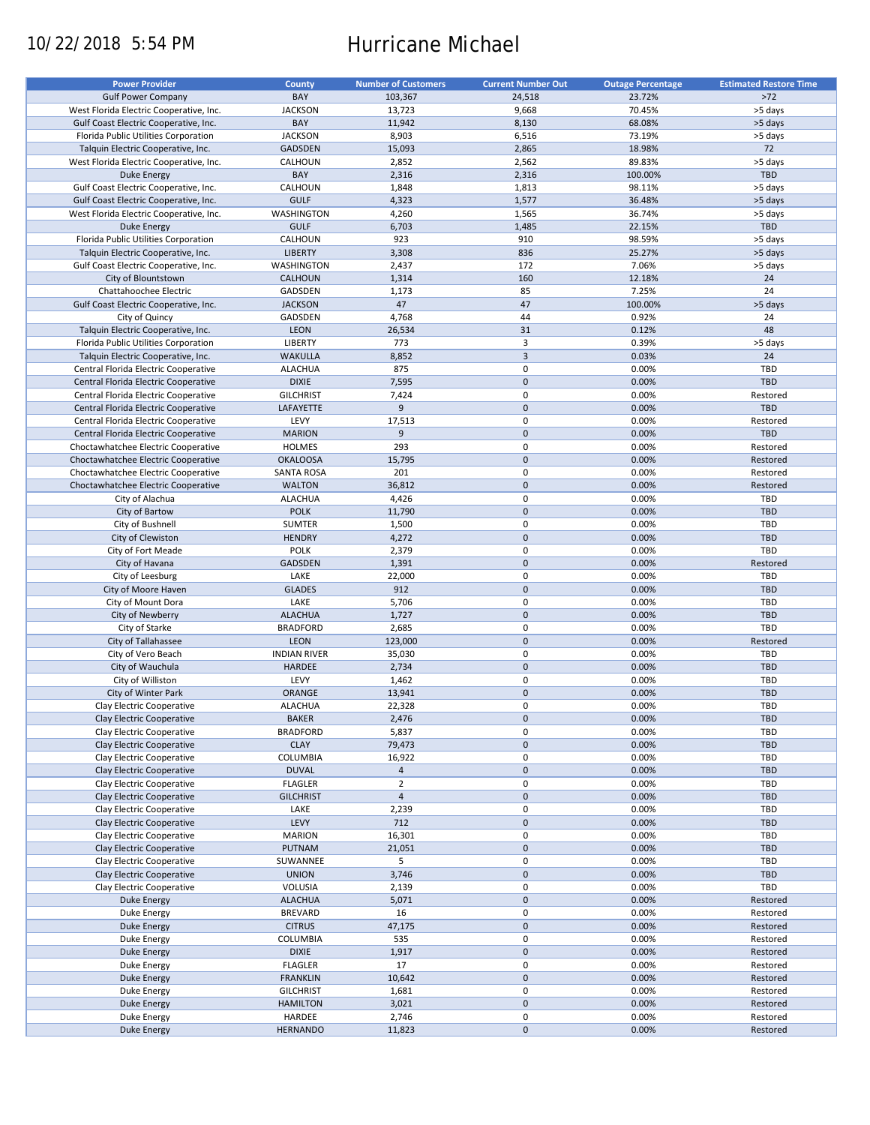# 10/22/2018 5:54 PM Hurricane Michael

| <b>Power Provider</b>                   | County              | <b>Number of Customers</b> | <b>Current Number Out</b> | <b>Outage Percentage</b> | <b>Estimated Restore Time</b> |
|-----------------------------------------|---------------------|----------------------------|---------------------------|--------------------------|-------------------------------|
|                                         |                     |                            |                           |                          |                               |
| <b>Gulf Power Company</b>               | BAY                 | 103,367                    | 24,518                    | 23.72%                   | $>72$                         |
| West Florida Electric Cooperative, Inc. | <b>JACKSON</b>      | 13,723                     | 9,668                     | 70.45%                   | >5 days                       |
| Gulf Coast Electric Cooperative, Inc.   | BAY                 | 11,942                     | 8,130                     | 68.08%                   | >5 days                       |
| Florida Public Utilities Corporation    | <b>JACKSON</b>      | 8,903                      | 6,516                     | 73.19%                   | >5 days                       |
| Talquin Electric Cooperative, Inc.      | <b>GADSDEN</b>      | 15,093                     | 2,865                     | 18.98%                   | 72                            |
| West Florida Electric Cooperative, Inc. | CALHOUN             | 2,852                      | 2,562                     | 89.83%                   | >5 days                       |
|                                         | BAY                 |                            |                           |                          | <b>TBD</b>                    |
| Duke Energy                             |                     | 2,316                      | 2,316                     | 100.00%                  |                               |
| Gulf Coast Electric Cooperative, Inc.   | CALHOUN             | 1,848                      | 1,813                     | 98.11%                   | >5 days                       |
| Gulf Coast Electric Cooperative, Inc.   | <b>GULF</b>         | 4,323                      | 1,577                     | 36.48%                   | >5 days                       |
| West Florida Electric Cooperative, Inc. | WASHINGTON          | 4,260                      | 1,565                     | 36.74%                   | >5 days                       |
| <b>Duke Energy</b>                      | <b>GULF</b>         | 6,703                      | 1,485                     | 22.15%                   | TBD                           |
| Florida Public Utilities Corporation    | CALHOUN             | 923                        | 910                       | 98.59%                   | >5 days                       |
| Talquin Electric Cooperative, Inc.      | <b>LIBERTY</b>      | 3,308                      | 836                       | 25.27%                   | >5 days                       |
|                                         |                     |                            |                           |                          |                               |
| Gulf Coast Electric Cooperative, Inc.   | WASHINGTON          | 2,437                      | 172                       | 7.06%                    | >5 days                       |
| City of Blountstown                     | <b>CALHOUN</b>      | 1,314                      | 160                       | 12.18%                   | 24                            |
| Chattahoochee Electric                  | GADSDEN             | 1,173                      | 85                        | 7.25%                    | 24                            |
| Gulf Coast Electric Cooperative, Inc.   | <b>JACKSON</b>      | 47                         | 47                        | 100.00%                  | >5 days                       |
| City of Quincy                          | GADSDEN             | 4,768                      | 44                        | 0.92%                    | 24                            |
| Talquin Electric Cooperative, Inc.      | LEON                | 26,534                     | 31                        | 0.12%                    | 48                            |
|                                         |                     |                            |                           |                          |                               |
| Florida Public Utilities Corporation    | <b>LIBERTY</b>      | 773                        | 3                         | 0.39%                    | >5 days                       |
| Talquin Electric Cooperative, Inc.      | <b>WAKULLA</b>      | 8,852                      | $\overline{3}$            | 0.03%                    | 24                            |
| Central Florida Electric Cooperative    | <b>ALACHUA</b>      | 875                        | $\pmb{0}$                 | 0.00%                    | TBD                           |
| Central Florida Electric Cooperative    | <b>DIXIE</b>        | 7,595                      | $\mathbf 0$               | 0.00%                    | <b>TBD</b>                    |
| Central Florida Electric Cooperative    | <b>GILCHRIST</b>    | 7,424                      | $\pmb{0}$                 | 0.00%                    | Restored                      |
| Central Florida Electric Cooperative    | LAFAYETTE           | 9                          | $\mathbf 0$               | 0.00%                    | <b>TBD</b>                    |
|                                         |                     |                            |                           |                          |                               |
| Central Florida Electric Cooperative    | LEVY                | 17,513                     | $\pmb{0}$                 | 0.00%                    | Restored                      |
| Central Florida Electric Cooperative    | <b>MARION</b>       | 9                          | $\mathbf 0$               | 0.00%                    | <b>TBD</b>                    |
| Choctawhatchee Electric Cooperative     | <b>HOLMES</b>       | 293                        | $\mathbf 0$               | 0.00%                    | Restored                      |
| Choctawhatchee Electric Cooperative     | <b>OKALOOSA</b>     | 15,795                     | $\pmb{0}$                 | 0.00%                    | Restored                      |
| Choctawhatchee Electric Cooperative     | <b>SANTA ROSA</b>   | 201                        | $\pmb{0}$                 | 0.00%                    | Restored                      |
| Choctawhatchee Electric Cooperative     | <b>WALTON</b>       | 36,812                     | $\mathbf 0$               | 0.00%                    | Restored                      |
|                                         |                     |                            |                           |                          |                               |
| City of Alachua                         | <b>ALACHUA</b>      | 4,426                      | 0                         | 0.00%                    | TBD                           |
| City of Bartow                          | <b>POLK</b>         | 11,790                     | $\mathbf 0$               | 0.00%                    | <b>TBD</b>                    |
| City of Bushnell                        | <b>SUMTER</b>       | 1,500                      | $\pmb{0}$                 | 0.00%                    | TBD                           |
| City of Clewiston                       | <b>HENDRY</b>       | 4,272                      | $\mathbf 0$               | 0.00%                    | <b>TBD</b>                    |
| City of Fort Meade                      | <b>POLK</b>         | 2,379                      | 0                         | 0.00%                    | TBD                           |
| City of Havana                          | GADSDEN             | 1,391                      | $\mathbf 0$               | 0.00%                    | Restored                      |
|                                         |                     |                            | $\pmb{0}$                 |                          | TBD                           |
| City of Leesburg                        | LAKE                | 22,000                     |                           | 0.00%                    |                               |
| City of Moore Haven                     | <b>GLADES</b>       | 912                        | $\pmb{0}$                 | 0.00%                    | <b>TBD</b>                    |
| City of Mount Dora                      | LAKE                | 5,706                      | 0                         | 0.00%                    | TBD                           |
| City of Newberry                        | <b>ALACHUA</b>      | 1,727                      | $\mathbf 0$               | 0.00%                    | TBD                           |
| City of Starke                          | <b>BRADFORD</b>     | 2,685                      | $\pmb{0}$                 | 0.00%                    | TBD                           |
| City of Tallahassee                     | LEON                | 123,000                    | $\mathbf 0$               | 0.00%                    | Restored                      |
| City of Vero Beach                      | <b>INDIAN RIVER</b> | 35,030                     | 0                         | 0.00%                    | TBD                           |
|                                         | <b>HARDEE</b>       |                            | $\mathbf 0$               | 0.00%                    | <b>TBD</b>                    |
| City of Wauchula                        |                     | 2,734                      |                           |                          |                               |
| City of Williston                       | LEVY                | 1,462                      | $\pmb{0}$                 | 0.00%                    | TBD                           |
| City of Winter Park                     | <b>ORANGE</b>       | 13,941                     | $\mathbf 0$               | 0.00%                    | <b>TBD</b>                    |
| Clay Electric Cooperative               | <b>ALACHUA</b>      | 22,328                     | $\mathbf 0$               | 0.00%                    | TBD                           |
| Clay Electric Cooperative               | <b>BAKER</b>        | 2,476                      | $\mathsf{O}\xspace$       | 0.00%                    | TBD                           |
| Clay Electric Cooperative               | <b>BRADFORD</b>     | 5,837                      | 0                         | 0.00%                    | TBD                           |
| Clay Electric Cooperative               | <b>CLAY</b>         | 79,473                     | $\pmb{0}$                 | 0.00%                    | <b>TBD</b>                    |
|                                         |                     |                            |                           |                          |                               |
| Clay Electric Cooperative               | COLUMBIA            | 16,922                     | 0                         | 0.00%                    | TBD                           |
| Clay Electric Cooperative               | <b>DUVAL</b>        | $\overline{a}$             | $\pmb{0}$                 | 0.00%                    | <b>TBD</b>                    |
| Clay Electric Cooperative               | <b>FLAGLER</b>      | $\overline{2}$             | 0                         | 0.00%                    | TBD                           |
| Clay Electric Cooperative               | <b>GILCHRIST</b>    | $\overline{4}$             | $\mathsf{O}\xspace$       | 0.00%                    | <b>TBD</b>                    |
| Clay Electric Cooperative               | LAKE                | 2,239                      | 0                         | 0.00%                    | TBD                           |
| Clay Electric Cooperative               | LEVY                | 712                        | $\pmb{0}$                 | 0.00%                    | TBD                           |
| Clay Electric Cooperative               | <b>MARION</b>       | 16,301                     | 0                         | 0.00%                    | TBD                           |
| Clay Electric Cooperative               |                     |                            |                           |                          |                               |
|                                         | PUTNAM              | 21,051                     | $\mathsf{O}\xspace$       | 0.00%                    | <b>TBD</b>                    |
| Clay Electric Cooperative               | SUWANNEE            | 5                          | 0                         | 0.00%                    | TBD                           |
| Clay Electric Cooperative               | <b>UNION</b>        | 3,746                      | $\mathsf{O}\xspace$       | 0.00%                    | TBD                           |
| Clay Electric Cooperative               | VOLUSIA             | 2,139                      | 0                         | 0.00%                    | TBD                           |
| Duke Energy                             | <b>ALACHUA</b>      | 5,071                      | $\pmb{0}$                 | 0.00%                    | Restored                      |
| Duke Energy                             | <b>BREVARD</b>      | 16                         | 0                         | 0.00%                    | Restored                      |
|                                         |                     |                            | $\pmb{0}$                 |                          |                               |
| Duke Energy                             | <b>CITRUS</b>       | 47,175                     |                           | 0.00%                    | Restored                      |
| Duke Energy                             | <b>COLUMBIA</b>     | 535                        | $\pmb{0}$                 | 0.00%                    | Restored                      |
| Duke Energy                             | <b>DIXIE</b>        | 1,917                      | $\pmb{0}$                 | 0.00%                    | Restored                      |
| Duke Energy                             | <b>FLAGLER</b>      | 17                         | $\pmb{0}$                 | 0.00%                    | Restored                      |
| <b>Duke Energy</b>                      | <b>FRANKLIN</b>     | 10,642                     | $\pmb{0}$                 | 0.00%                    | Restored                      |
| Duke Energy                             | <b>GILCHRIST</b>    | 1,681                      | $\pmb{0}$                 | 0.00%                    | Restored                      |
| <b>Duke Energy</b>                      | <b>HAMILTON</b>     | 3,021                      | $\pmb{0}$                 | 0.00%                    | Restored                      |
|                                         | HARDEE              | 2,746                      | 0                         | 0.00%                    | Restored                      |
| Duke Energy                             |                     |                            |                           |                          |                               |
| Duke Energy                             | <b>HERNANDO</b>     | 11,823                     | $\pmb{0}$                 | 0.00%                    | Restored                      |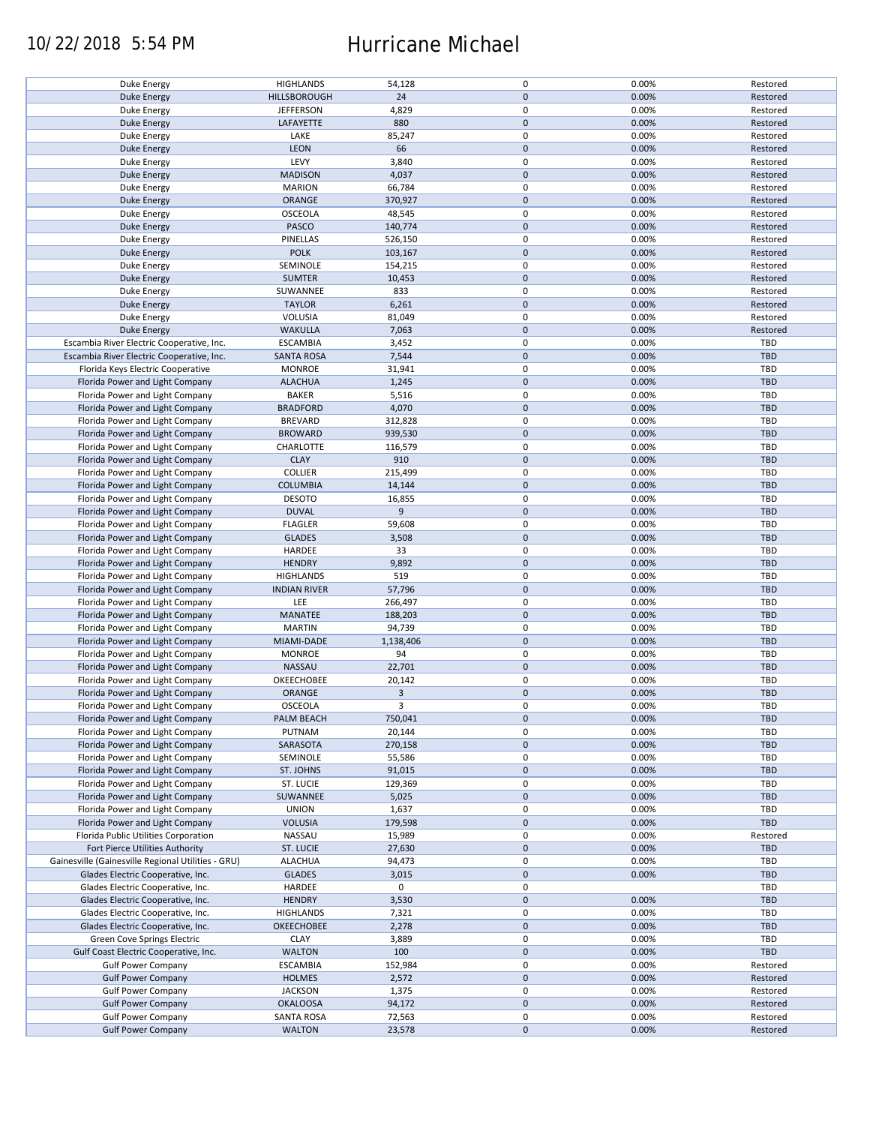### 10/22/2018 5:54 PM Hurricane Michael

| Duke Energy                                        | <b>HIGHLANDS</b>    | 54,128         | 0                   | 0.00% | Restored   |
|----------------------------------------------------|---------------------|----------------|---------------------|-------|------------|
| <b>Duke Energy</b>                                 | HILLSBOROUGH        | 24             | $\mathbf 0$         | 0.00% | Restored   |
|                                                    |                     |                |                     |       |            |
| Duke Energy                                        | <b>JEFFERSON</b>    | 4,829          | 0                   | 0.00% | Restored   |
| <b>Duke Energy</b>                                 | LAFAYETTE           | 880            | $\mathbf 0$         | 0.00% | Restored   |
| Duke Energy                                        |                     | 85,247         | 0                   | 0.00% |            |
|                                                    | LAKE                |                |                     |       | Restored   |
| <b>Duke Energy</b>                                 | <b>LEON</b>         | 66             | $\mathbf 0$         | 0.00% | Restored   |
| Duke Energy                                        | LEVY                | 3,840          | 0                   | 0.00% | Restored   |
|                                                    |                     |                |                     |       |            |
| <b>Duke Energy</b>                                 | <b>MADISON</b>      | 4,037          | $\mathbf 0$         | 0.00% | Restored   |
| Duke Energy                                        | <b>MARION</b>       | 66,784         | 0                   | 0.00% | Restored   |
| Duke Energy                                        | ORANGE              | 370,927        | $\mathbf 0$         | 0.00% | Restored   |
|                                                    |                     |                |                     |       |            |
| Duke Energy                                        | <b>OSCEOLA</b>      | 48,545         | 0                   | 0.00% | Restored   |
| Duke Energy                                        | PASCO               | 140,774        | $\mathbf 0$         | 0.00% | Restored   |
|                                                    |                     |                |                     |       |            |
| Duke Energy                                        | PINELLAS            | 526,150        | 0                   | 0.00% | Restored   |
| Duke Energy                                        | <b>POLK</b>         | 103,167        | $\mathbf 0$         | 0.00% | Restored   |
| Duke Energy                                        | SEMINOLE            | 154,215        | $\pmb{0}$           | 0.00% | Restored   |
|                                                    |                     |                |                     |       |            |
| <b>Duke Energy</b>                                 | <b>SUMTER</b>       | 10,453         | $\pmb{0}$           | 0.00% | Restored   |
| Duke Energy                                        | SUWANNEE            | 833            | $\pmb{0}$           | 0.00% | Restored   |
|                                                    |                     |                |                     |       |            |
| <b>Duke Energy</b>                                 | <b>TAYLOR</b>       | 6,261          | $\pmb{0}$           | 0.00% | Restored   |
| Duke Energy                                        | VOLUSIA             | 81,049         | $\pmb{0}$           | 0.00% | Restored   |
| <b>Duke Energy</b>                                 | <b>WAKULLA</b>      | 7,063          | $\pmb{0}$           | 0.00% | Restored   |
|                                                    |                     |                |                     |       |            |
| Escambia River Electric Cooperative, Inc.          | <b>ESCAMBIA</b>     | 3,452          | $\pmb{0}$           | 0.00% | TBD        |
| Escambia River Electric Cooperative, Inc.          | <b>SANTA ROSA</b>   | 7,544          | $\pmb{0}$           | 0.00% | <b>TBD</b> |
|                                                    |                     |                |                     |       |            |
| Florida Keys Electric Cooperative                  | <b>MONROE</b>       | 31,941         | 0                   | 0.00% | TBD        |
| Florida Power and Light Company                    | <b>ALACHUA</b>      | 1,245          | $\pmb{0}$           | 0.00% | <b>TBD</b> |
|                                                    |                     |                |                     |       |            |
| Florida Power and Light Company                    | <b>BAKER</b>        | 5,516          | 0                   | 0.00% | TBD        |
| Florida Power and Light Company                    | <b>BRADFORD</b>     | 4,070          | $\pmb{0}$           | 0.00% | <b>TBD</b> |
| Florida Power and Light Company                    | <b>BREVARD</b>      | 312,828        | $\pmb{0}$           | 0.00% | TBD        |
|                                                    |                     |                |                     |       |            |
| Florida Power and Light Company                    | <b>BROWARD</b>      | 939,530        | $\pmb{0}$           | 0.00% | <b>TBD</b> |
| Florida Power and Light Company                    | CHARLOTTE           | 116,579        | 0                   | 0.00% | TBD        |
|                                                    |                     |                |                     |       |            |
| Florida Power and Light Company                    | <b>CLAY</b>         | 910            | $\mathsf{O}\xspace$ | 0.00% | <b>TBD</b> |
| Florida Power and Light Company                    | <b>COLLIER</b>      | 215,499        | 0                   | 0.00% | TBD        |
| Florida Power and Light Company                    | <b>COLUMBIA</b>     | 14,144         | $\pmb{0}$           | 0.00% | <b>TBD</b> |
|                                                    |                     |                |                     |       |            |
| Florida Power and Light Company                    | <b>DESOTO</b>       | 16,855         | 0                   | 0.00% | <b>TBD</b> |
| Florida Power and Light Company                    | <b>DUVAL</b>        | 9              | $\mathsf{O}\xspace$ | 0.00% | <b>TBD</b> |
|                                                    |                     |                |                     |       |            |
| Florida Power and Light Company                    | <b>FLAGLER</b>      | 59,608         | 0                   | 0.00% | TBD        |
| Florida Power and Light Company                    | <b>GLADES</b>       | 3,508          | $\pmb{0}$           | 0.00% | <b>TBD</b> |
|                                                    | HARDEE              | 33             | 0                   | 0.00% | TBD        |
| Florida Power and Light Company                    |                     |                |                     |       |            |
| Florida Power and Light Company                    | <b>HENDRY</b>       | 9,892          | $\pmb{0}$           | 0.00% | <b>TBD</b> |
| Florida Power and Light Company                    | <b>HIGHLANDS</b>    | 519            | 0                   | 0.00% | TBD        |
|                                                    |                     |                |                     |       |            |
| Florida Power and Light Company                    | <b>INDIAN RIVER</b> | 57,796         | $\mathbf 0$         | 0.00% | <b>TBD</b> |
| Florida Power and Light Company                    | LEE                 | 266,497        | $\pmb{0}$           | 0.00% | TBD        |
|                                                    |                     |                |                     |       |            |
| Florida Power and Light Company                    | MANATEE             | 188,203        | $\mathbf 0$         | 0.00% | <b>TBD</b> |
| Florida Power and Light Company                    | <b>MARTIN</b>       | 94,739         | 0                   | 0.00% | TBD        |
| Florida Power and Light Company                    | MIAMI-DADE          | 1,138,406      | $\mathbf 0$         | 0.00% | <b>TBD</b> |
|                                                    |                     |                |                     |       |            |
| Florida Power and Light Company                    | <b>MONROE</b>       | 94             | 0                   | 0.00% | TBD        |
| Florida Power and Light Company                    | NASSAU              | 22,701         | $\mathbf 0$         | 0.00% | <b>TBD</b> |
|                                                    |                     |                |                     |       |            |
| Florida Power and Light Company                    | OKEECHOBEE          | 20,142         | 0                   | 0.00% | TBD        |
| Florida Power and Light Company                    | ORANGE              | $\overline{3}$ | $\mathbf 0$         | 0.00% | <b>TBD</b> |
| Florida Power and Light Company                    | OSCEOLA             | 3              | 0                   | 0.00% | <b>TBD</b> |
|                                                    |                     |                |                     |       |            |
| Florida Power and Light Company                    | PALM BEACH          | 750,041        | $\pmb{0}$           | 0.00% | <b>TBD</b> |
| Florida Power and Light Company                    | PUTNAM              | 20,144         | 0                   | 0.00% | TBD        |
|                                                    |                     |                |                     |       |            |
| Florida Power and Light Company                    | SARASOTA            | 270,158        | $\mathbf 0$         | 0.00% | <b>TBD</b> |
| Florida Power and Light Company                    | SEMINOLE            | 55,586         | 0                   | 0.00% | TBD        |
| Florida Power and Light Company                    | ST. JOHNS           | 91,015         | $\mathsf{O}\xspace$ | 0.00% | <b>TBD</b> |
|                                                    |                     |                |                     |       |            |
| Florida Power and Light Company                    | ST. LUCIE           | 129,369        | 0                   | 0.00% | TBD        |
| Florida Power and Light Company                    | SUWANNEE            | 5,025          | $\mathsf{O}\xspace$ | 0.00% | <b>TBD</b> |
|                                                    |                     |                |                     |       |            |
| Florida Power and Light Company                    | <b>UNION</b>        | 1,637          | 0                   | 0.00% | TBD        |
| Florida Power and Light Company                    | <b>VOLUSIA</b>      | 179,598        | $\mathsf{O}\xspace$ | 0.00% | <b>TBD</b> |
| Florida Public Utilities Corporation               | NASSAU              | 15,989         | 0                   | 0.00% | Restored   |
|                                                    |                     |                |                     |       |            |
| Fort Pierce Utilities Authority                    | ST. LUCIE           | 27,630         | $\pmb{0}$           | 0.00% | <b>TBD</b> |
| Gainesville (Gainesville Regional Utilities - GRU) | <b>ALACHUA</b>      | 94,473         | 0                   | 0.00% | TBD        |
|                                                    |                     |                |                     |       | <b>TBD</b> |
| Glades Electric Cooperative, Inc.                  | <b>GLADES</b>       | 3,015          | $\mathsf{O}\xspace$ | 0.00% |            |
| Glades Electric Cooperative, Inc.                  | HARDEE              | $\mathbf 0$    | 0                   |       | TBD        |
| Glades Electric Cooperative, Inc.                  | <b>HENDRY</b>       | 3,530          | $\pmb{0}$           | 0.00% | <b>TBD</b> |
|                                                    |                     |                |                     |       |            |
| Glades Electric Cooperative, Inc.                  | <b>HIGHLANDS</b>    | 7,321          | 0                   | 0.00% | TBD        |
| Glades Electric Cooperative, Inc.                  | OKEECHOBEE          | 2,278          | $\pmb{0}$           | 0.00% | <b>TBD</b> |
|                                                    |                     |                |                     |       |            |
| Green Cove Springs Electric                        | <b>CLAY</b>         | 3,889          | 0                   | 0.00% | TBD        |
| Gulf Coast Electric Cooperative, Inc.              | <b>WALTON</b>       | 100            | $\pmb{0}$           | 0.00% | <b>TBD</b> |
| <b>Gulf Power Company</b>                          | <b>ESCAMBIA</b>     | 152,984        | 0                   | 0.00% | Restored   |
|                                                    |                     |                |                     |       |            |
| <b>Gulf Power Company</b>                          | <b>HOLMES</b>       | 2,572          | $\pmb{0}$           | 0.00% | Restored   |
| <b>Gulf Power Company</b>                          | <b>JACKSON</b>      | 1,375          | 0                   | 0.00% | Restored   |
|                                                    |                     |                |                     |       |            |
| <b>Gulf Power Company</b>                          | <b>OKALOOSA</b>     | 94,172         | $\pmb{0}$           | 0.00% | Restored   |
| <b>Gulf Power Company</b>                          | <b>SANTA ROSA</b>   | 72,563         | 0                   | 0.00% | Restored   |
|                                                    | <b>WALTON</b>       | 23,578         | $\mathsf{O}\xspace$ | 0.00% | Restored   |
| <b>Gulf Power Company</b>                          |                     |                |                     |       |            |